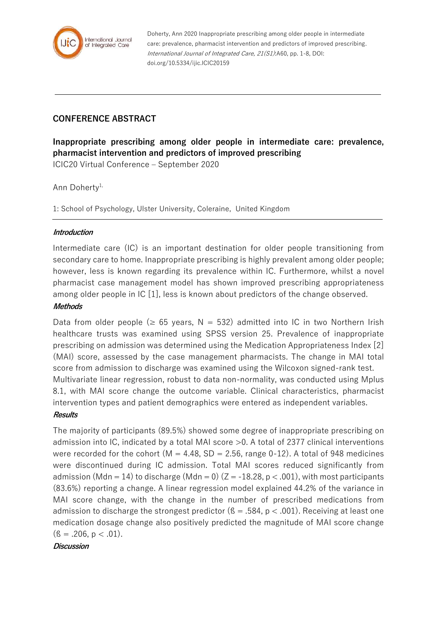

Doherty, Ann 2020 Inappropriate prescribing among older people in intermediate care: prevalence, pharmacist intervention and predictors of improved prescribing. International Journal of Integrated Care, 21(S1):A60, pp. 1-8, DOI: doi.org/10.5334/ijic.ICIC20159

## **CONFERENCE ABSTRACT**

**Inappropriate prescribing among older people in intermediate care: prevalence, pharmacist intervention and predictors of improved prescribing**

ICIC20 Virtual Conference – September 2020

Ann Doherty<sup>1,</sup>

1: School of Psychology, Ulster University, Coleraine, United Kingdom

#### **Introduction**

Intermediate care (IC) is an important destination for older people transitioning from secondary care to home. Inappropriate prescribing is highly prevalent among older people; however, less is known regarding its prevalence within IC. Furthermore, whilst a novel pharmacist case management model has shown improved prescribing appropriateness among older people in IC [1], less is known about predictors of the change observed.

#### **Methods**

Data from older people ( $\geq$  65 years, N = 532) admitted into IC in two Northern Irish healthcare trusts was examined using SPSS version 25. Prevalence of inappropriate prescribing on admission was determined using the Medication Appropriateness Index [2] (MAI) score, assessed by the case management pharmacists. The change in MAI total score from admission to discharge was examined using the Wilcoxon signed-rank test. Multivariate linear regression, robust to data non-normality, was conducted using Mplus 8.1, with MAI score change the outcome variable. Clinical characteristics, pharmacist intervention types and patient demographics were entered as independent variables.

#### **Results**

The majority of participants (89.5%) showed some degree of inappropriate prescribing on admission into IC, indicated by a total MAI score >0. A total of 2377 clinical interventions were recorded for the cohort ( $M = 4.48$ , SD = 2.56, range 0-12). A total of 948 medicines were discontinued during IC admission. Total MAI scores reduced significantly from admission (Mdn = 14) to discharge (Mdn = 0)  $(Z = -18.28, p < .001)$ , with most participants (83.6%) reporting a change. A linear regression model explained 44.2% of the variance in MAI score change, with the change in the number of prescribed medications from admission to discharge the strongest predictor ( $\beta = .584$ ,  $p < .001$ ). Receiving at least one medication dosage change also positively predicted the magnitude of MAI score change  $($ ß = .206, p < .01).

**Discussion**